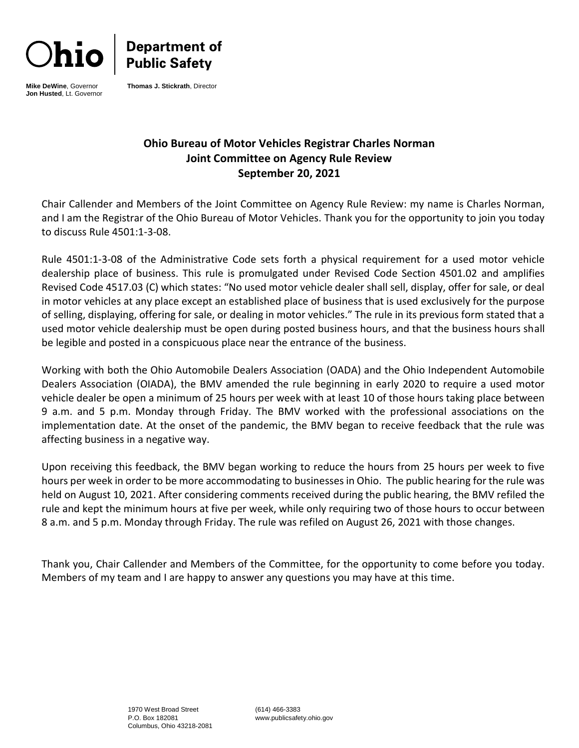

**Department of<br>Public Safety** 

**Mike DeWine**, Governor **Jon Husted**, Lt. Governor **Thomas J. Stickrath**, Director

# **Ohio Bureau of Motor Vehicles Registrar Charles Norman Joint Committee on Agency Rule Review September 20, 2021**

Chair Callender and Members of the Joint Committee on Agency Rule Review: my name is Charles Norman, and I am the Registrar of the Ohio Bureau of Motor Vehicles. Thank you for the opportunity to join you today to discuss Rule 4501:1-3-08.

Rule 4501:1-3-08 of the Administrative Code sets forth a physical requirement for a used motor vehicle dealership place of business. This rule is promulgated under Revised Code Section 4501.02 and amplifies Revised Code 4517.03 (C) which states: "No used motor vehicle dealer shall sell, display, offer for sale, or deal in motor vehicles at any place except an established place of business that is used exclusively for the purpose of selling, displaying, offering for sale, or dealing in motor vehicles." The rule in its previous form stated that a used motor vehicle dealership must be open during posted business hours, and that the business hours shall be legible and posted in a conspicuous place near the entrance of the business.

Working with both the Ohio Automobile Dealers Association (OADA) and the Ohio Independent Automobile Dealers Association (OIADA), the BMV amended the rule beginning in early 2020 to require a used motor vehicle dealer be open a minimum of 25 hours per week with at least 10 of those hours taking place between 9 a.m. and 5 p.m. Monday through Friday. The BMV worked with the professional associations on the implementation date. At the onset of the pandemic, the BMV began to receive feedback that the rule was affecting business in a negative way.

Upon receiving this feedback, the BMV began working to reduce the hours from 25 hours per week to five hours per week in order to be more accommodating to businesses in Ohio. The public hearing for the rule was held on August 10, 2021. After considering comments received during the public hearing, the BMV refiled the rule and kept the minimum hours at five per week, while only requiring two of those hours to occur between 8 a.m. and 5 p.m. Monday through Friday. The rule was refiled on August 26, 2021 with those changes.

Thank you, Chair Callender and Members of the Committee, for the opportunity to come before you today. Members of my team and I are happy to answer any questions you may have at this time.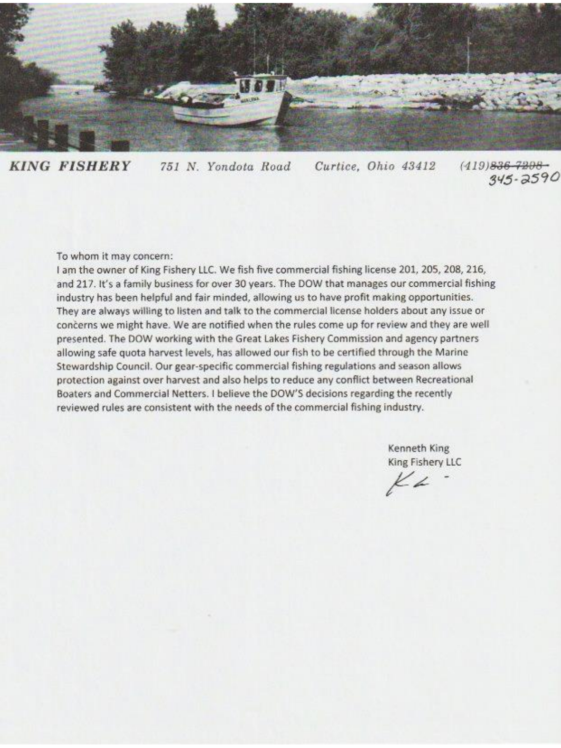

**KING FISHERY**  $(419)836 - 7208 -$ 751 N. Yondota Road Curtice, Ohio 43412  $345 - 2590$ 

### To whom it may concern:

I am the owner of King Fishery LLC. We fish five commercial fishing license 201, 205, 208, 216, and 217. It's a family business for over 30 years. The DOW that manages our commercial fishing industry has been helpful and fair minded, allowing us to have profit making opportunities. They are always willing to listen and talk to the commercial license holders about any issue or concerns we might have. We are notified when the rules come up for review and they are well presented. The DOW working with the Great Lakes Fishery Commission and agency partners allowing safe quota harvest levels, has allowed our fish to be certified through the Marine Stewardship Council. Our gear-specific commercial fishing regulations and season allows protection against over harvest and also helps to reduce any conflict between Recreational Boaters and Commercial Netters. I believe the DOW'S decisions regarding the recently reviewed rules are consistent with the needs of the commercial fishing industry.

> Kenneth King King Fishery LLC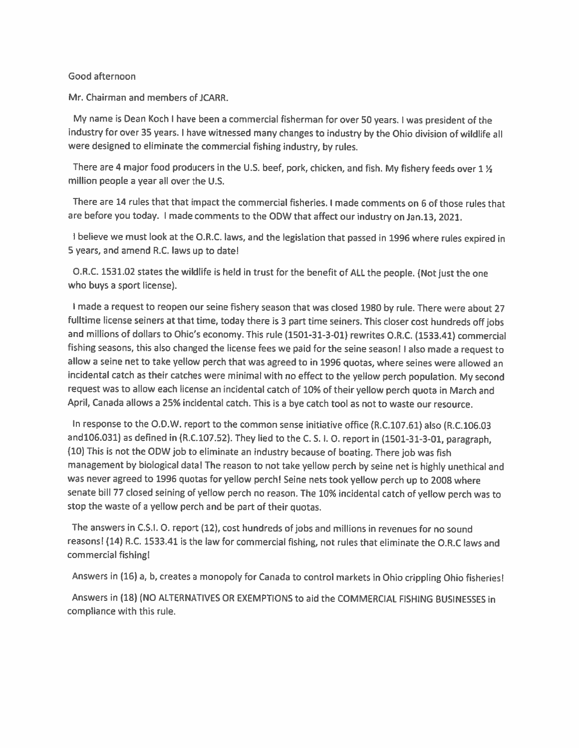## Good afternoon

Mr. Chairman and members of JCARR.

My name is Dean Koch I have been a commercial fisherman for over 50 years. I was president of the industry for over 35 years. I have witnessed many changes to industry by the Ohio division of wildlife all were designed to eliminate the commercial fishing industry, by rules.

There are 4 major food producers in the U.S. beef, pork, chicken, and fish. My fishery feeds over 1 1/2 million people a year all over the U.S.

There are 14 rules that that impact the commercial fisheries. I made comments on 6 of those rules that are before you today. I made comments to the ODW that affect our industry on Jan.13, 2021.

I believe we must look at the O.R.C. laws, and the legislation that passed in 1996 where rules expired in 5 years, and amend R.C. laws up to date!

O.R.C. 1531.02 states the wildlife is held in trust for the benefit of ALL the people. (Not just the one who buys a sport license).

I made a request to reopen our seine fishery season that was closed 1980 by rule. There were about 27 fulltime license seiners at that time, today there is 3 part time seiners. This closer cost hundreds off jobs and millions of dollars to Ohio's economy. This rule (1501-31-3-01) rewrites O.R.C. (1533.41) commercial fishing seasons, this also changed the license fees we paid for the seine season! I also made a request to allow a seine net to take yellow perch that was agreed to in 1996 quotas, where seines were allowed an incidental catch as their catches were minimal with no effect to the yellow perch population. My second request was to allow each license an incidental catch of 10% of their yellow perch quota in March and April, Canada allows a 25% incidental catch. This is a bye catch tool as not to waste our resource.

In response to the O.D.W. report to the common sense initiative office (R.C.107.61) also (R.C.106.03 and106.031) as defined in (R.C.107.52). They lied to the C.S.I.O. report in (1501-31-3-01, paragraph, (10) This is not the ODW job to eliminate an industry because of boating. There job was fish management by biological data! The reason to not take yellow perch by seine net is highly unethical and was never agreed to 1996 quotas for yellow perch! Seine nets took yellow perch up to 2008 where senate bill 77 closed seining of yellow perch no reason. The 10% incidental catch of yellow perch was to stop the waste of a yellow perch and be part of their quotas.

The answers in C.S.I. O. report (12), cost hundreds of jobs and millions in revenues for no sound reasons! (14) R.C. 1533.41 is the law for commercial fishing, not rules that eliminate the O.R.C laws and commercial fishing!

Answers in (16) a, b, creates a monopoly for Canada to control markets in Ohio crippling Ohio fisheries!

Answers in (18) (NO ALTERNATIVES OR EXEMPTIONS to aid the COMMERCIAL FISHING BUSINESSES in compliance with this rule.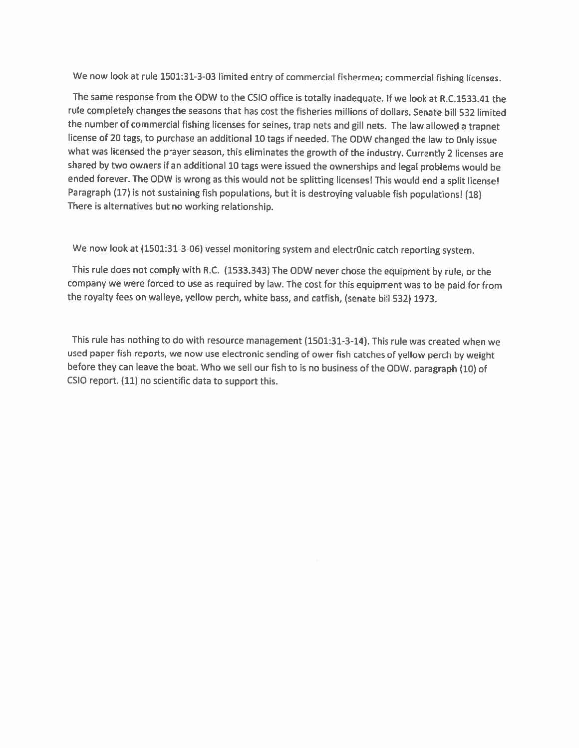We now look at rule 1501:31-3-03 limited entry of commercial fishermen; commercial fishing licenses.

The same response from the ODW to the CSIO office is totally inadequate. If we look at R.C.1533.41 the rule completely changes the seasons that has cost the fisheries millions of dollars. Senate bill 532 limited the number of commercial fishing licenses for seines, trap nets and gill nets. The law allowed a trapnet license of 20 tags, to purchase an additional 10 tags if needed. The ODW changed the law to Only issue what was licensed the prayer season, this eliminates the growth of the industry. Currently 2 licenses are shared by two owners if an additional 10 tags were issued the ownerships and legal problems would be ended forever. The ODW is wrong as this would not be splitting licenses! This would end a split license! Paragraph (17) is not sustaining fish populations, but it is destroying valuable fish populations! (18) There is alternatives but no working relationship.

We now look at (1501:31-3-06) vessel monitoring system and electr0nic catch reporting system.

This rule does not comply with R.C. (1533.343) The ODW never chose the equipment by rule, or the company we were forced to use as required by law. The cost for this equipment was to be paid for from the royalty fees on walleye, yellow perch, white bass, and catfish, (senate bill 532) 1973.

This rule has nothing to do with resource management (1501:31-3-14). This rule was created when we used paper fish reports, we now use electronic sending of ower fish catches of yellow perch by weight before they can leave the boat. Who we sell our fish to is no business of the ODW. paragraph (10) of CSIO report. (11) no scientific data to support this.